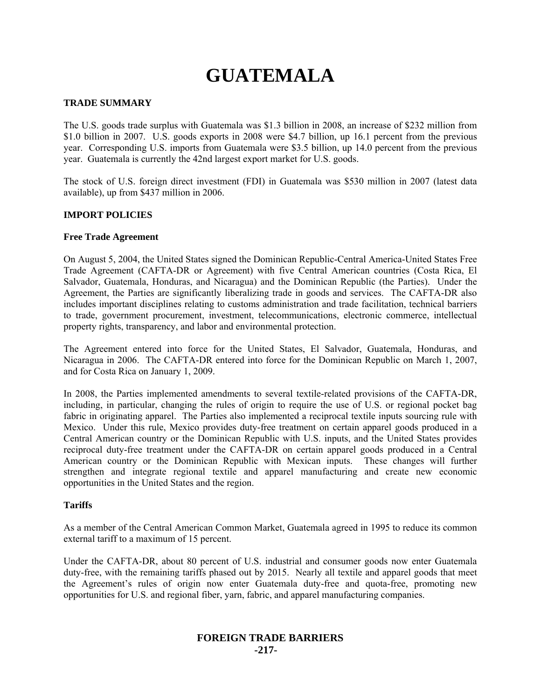# **GUATEMALA**

## **TRADE SUMMARY**

The U.S. goods trade surplus with Guatemala was \$1.3 billion in 2008, an increase of \$232 million from \$1.0 billion in 2007. U.S. goods exports in 2008 were \$4.7 billion, up 16.1 percent from the previous year. Corresponding U.S. imports from Guatemala were \$3.5 billion, up 14.0 percent from the previous year. Guatemala is currently the 42nd largest export market for U.S. goods.

The stock of U.S. foreign direct investment (FDI) in Guatemala was \$530 million in 2007 (latest data available), up from \$437 million in 2006.

## **IMPORT POLICIES**

#### **Free Trade Agreement**

On August 5, 2004, the United States signed the Dominican Republic-Central America-United States Free Trade Agreement (CAFTA-DR or Agreement) with five Central American countries (Costa Rica, El Salvador, Guatemala, Honduras, and Nicaragua) and the Dominican Republic (the Parties). Under the Agreement, the Parties are significantly liberalizing trade in goods and services. The CAFTA-DR also includes important disciplines relating to customs administration and trade facilitation, technical barriers to trade, government procurement, investment, telecommunications, electronic commerce, intellectual property rights, transparency, and labor and environmental protection.

The Agreement entered into force for the United States, El Salvador, Guatemala, Honduras, and Nicaragua in 2006. The CAFTA-DR entered into force for the Dominican Republic on March 1, 2007, and for Costa Rica on January 1, 2009.

In 2008, the Parties implemented amendments to several textile-related provisions of the CAFTA-DR, including, in particular, changing the rules of origin to require the use of U.S. or regional pocket bag fabric in originating apparel. The Parties also implemented a reciprocal textile inputs sourcing rule with Mexico. Under this rule, Mexico provides duty-free treatment on certain apparel goods produced in a Central American country or the Dominican Republic with U.S. inputs, and the United States provides reciprocal duty-free treatment under the CAFTA-DR on certain apparel goods produced in a Central American country or the Dominican Republic with Mexican inputs. These changes will further strengthen and integrate regional textile and apparel manufacturing and create new economic opportunities in the United States and the region.

## **Tariffs**

As a member of the Central American Common Market, Guatemala agreed in 1995 to reduce its common external tariff to a maximum of 15 percent.

Under the CAFTA-DR, about 80 percent of U.S. industrial and consumer goods now enter Guatemala duty-free, with the remaining tariffs phased out by 2015. Nearly all textile and apparel goods that meet the Agreement's rules of origin now enter Guatemala duty-free and quota-free, promoting new opportunities for U.S. and regional fiber, yarn, fabric, and apparel manufacturing companies.

# **FOREIGN TRADE BARRIERS -217-**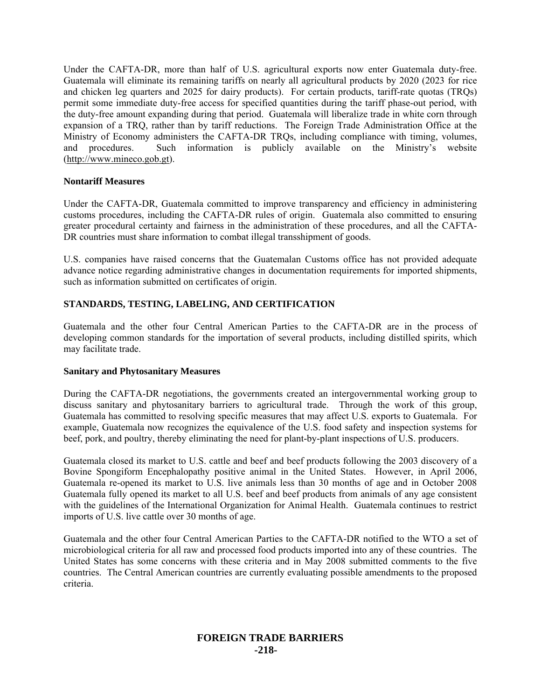Under the CAFTA-DR, more than half of U.S. agricultural exports now enter Guatemala duty-free. Guatemala will eliminate its remaining tariffs on nearly all agricultural products by 2020 (2023 for rice and chicken leg quarters and 2025 for dairy products). For certain products, tariff-rate quotas (TRQs) permit some immediate duty-free access for specified quantities during the tariff phase-out period, with the duty-free amount expanding during that period. Guatemala will liberalize trade in white corn through expansion of a TRQ, rather than by tariff reductions. The Foreign Trade Administration Office at the Ministry of Economy administers the CAFTA-DR TRQs, including compliance with timing, volumes, and procedures. Such information is publicly available on the Ministry's website (http://www.mineco.gob.gt).

## **Nontariff Measures**

Under the CAFTA-DR, Guatemala committed to improve transparency and efficiency in administering customs procedures, including the CAFTA-DR rules of origin. Guatemala also committed to ensuring greater procedural certainty and fairness in the administration of these procedures, and all the CAFTA-DR countries must share information to combat illegal transshipment of goods.

U.S. companies have raised concerns that the Guatemalan Customs office has not provided adequate advance notice regarding administrative changes in documentation requirements for imported shipments, such as information submitted on certificates of origin.

# **STANDARDS, TESTING, LABELING, AND CERTIFICATION**

Guatemala and the other four Central American Parties to the CAFTA-DR are in the process of developing common standards for the importation of several products, including distilled spirits, which may facilitate trade.

#### **Sanitary and Phytosanitary Measures**

During the CAFTA-DR negotiations, the governments created an intergovernmental working group to discuss sanitary and phytosanitary barriers to agricultural trade. Through the work of this group, Guatemala has committed to resolving specific measures that may affect U.S. exports to Guatemala. For example, Guatemala now recognizes the equivalence of the U.S. food safety and inspection systems for beef, pork, and poultry, thereby eliminating the need for plant-by-plant inspections of U.S. producers.

Guatemala closed its market to U.S. cattle and beef and beef products following the 2003 discovery of a Bovine Spongiform Encephalopathy positive animal in the United States. However, in April 2006, Guatemala re-opened its market to U.S. live animals less than 30 months of age and in October 2008 Guatemala fully opened its market to all U.S. beef and beef products from animals of any age consistent with the guidelines of the International Organization for Animal Health. Guatemala continues to restrict imports of U.S. live cattle over 30 months of age.

Guatemala and the other four Central American Parties to the CAFTA-DR notified to the WTO a set of microbiological criteria for all raw and processed food products imported into any of these countries. The United States has some concerns with these criteria and in May 2008 submitted comments to the five countries. The Central American countries are currently evaluating possible amendments to the proposed criteria.

# **FOREIGN TRADE BARRIERS -218-**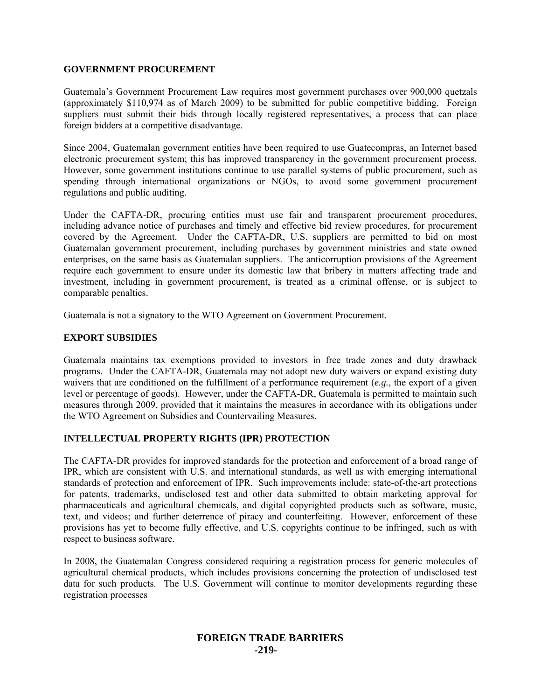## **GOVERNMENT PROCUREMENT**

Guatemala's Government Procurement Law requires most government purchases over 900,000 quetzals (approximately \$110,974 as of March 2009) to be submitted for public competitive bidding. Foreign suppliers must submit their bids through locally registered representatives, a process that can place foreign bidders at a competitive disadvantage.

Since 2004, Guatemalan government entities have been required to use Guatecompras, an Internet based electronic procurement system; this has improved transparency in the government procurement process. However, some government institutions continue to use parallel systems of public procurement, such as spending through international organizations or NGOs, to avoid some government procurement regulations and public auditing.

Under the CAFTA-DR, procuring entities must use fair and transparent procurement procedures, including advance notice of purchases and timely and effective bid review procedures, for procurement covered by the Agreement. Under the CAFTA-DR, U.S. suppliers are permitted to bid on most Guatemalan government procurement, including purchases by government ministries and state owned enterprises, on the same basis as Guatemalan suppliers. The anticorruption provisions of the Agreement require each government to ensure under its domestic law that bribery in matters affecting trade and investment, including in government procurement, is treated as a criminal offense, or is subject to comparable penalties.

Guatemala is not a signatory to the WTO Agreement on Government Procurement.

# **EXPORT SUBSIDIES**

Guatemala maintains tax exemptions provided to investors in free trade zones and duty drawback programs. Under the CAFTA-DR, Guatemala may not adopt new duty waivers or expand existing duty waivers that are conditioned on the fulfillment of a performance requirement (*e.g.*, the export of a given level or percentage of goods). However, under the CAFTA-DR, Guatemala is permitted to maintain such measures through 2009, provided that it maintains the measures in accordance with its obligations under the WTO Agreement on Subsidies and Countervailing Measures.

# **INTELLECTUAL PROPERTY RIGHTS (IPR) PROTECTION**

The CAFTA-DR provides for improved standards for the protection and enforcement of a broad range of IPR, which are consistent with U.S. and international standards, as well as with emerging international standards of protection and enforcement of IPR. Such improvements include: state-of-the-art protections for patents, trademarks, undisclosed test and other data submitted to obtain marketing approval for pharmaceuticals and agricultural chemicals, and digital copyrighted products such as software, music, text, and videos; and further deterrence of piracy and counterfeiting. However, enforcement of these provisions has yet to become fully effective, and U.S. copyrights continue to be infringed, such as with respect to business software.

In 2008, the Guatemalan Congress considered requiring a registration process for generic molecules of agricultural chemical products, which includes provisions concerning the protection of undisclosed test data for such products. The U.S. Government will continue to monitor developments regarding these registration processes

# **FOREIGN TRADE BARRIERS -219-**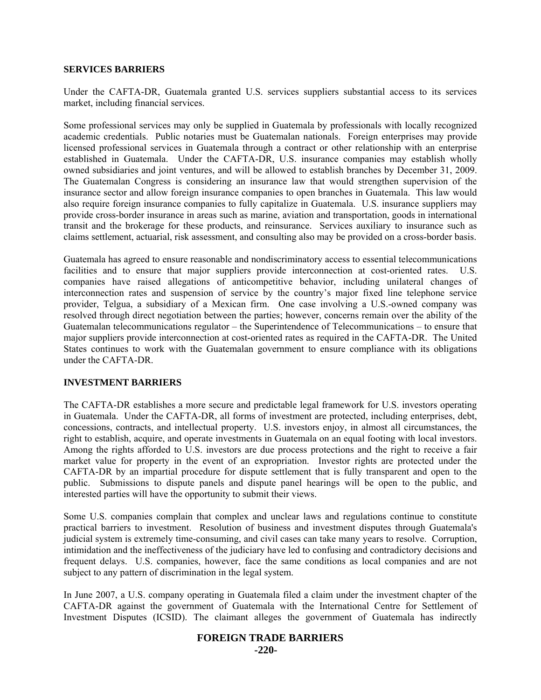#### **SERVICES BARRIERS**

Under the CAFTA-DR, Guatemala granted U.S. services suppliers substantial access to its services market, including financial services.

Some professional services may only be supplied in Guatemala by professionals with locally recognized academic credentials. Public notaries must be Guatemalan nationals. Foreign enterprises may provide licensed professional services in Guatemala through a contract or other relationship with an enterprise established in Guatemala. Under the CAFTA-DR, U.S. insurance companies may establish wholly owned subsidiaries and joint ventures, and will be allowed to establish branches by December 31, 2009. The Guatemalan Congress is considering an insurance law that would strengthen supervision of the insurance sector and allow foreign insurance companies to open branches in Guatemala. This law would also require foreign insurance companies to fully capitalize in Guatemala. U.S. insurance suppliers may provide cross-border insurance in areas such as marine, aviation and transportation, goods in international transit and the brokerage for these products, and reinsurance. Services auxiliary to insurance such as claims settlement, actuarial, risk assessment, and consulting also may be provided on a cross-border basis.

Guatemala has agreed to ensure reasonable and nondiscriminatory access to essential telecommunications facilities and to ensure that major suppliers provide interconnection at cost-oriented rates. U.S. companies have raised allegations of anticompetitive behavior, including unilateral changes of interconnection rates and suspension of service by the country's major fixed line telephone service provider, Telgua, a subsidiary of a Mexican firm. One case involving a U.S.-owned company was resolved through direct negotiation between the parties; however, concerns remain over the ability of the Guatemalan telecommunications regulator – the Superintendence of Telecommunications – to ensure that major suppliers provide interconnection at cost-oriented rates as required in the CAFTA-DR. The United States continues to work with the Guatemalan government to ensure compliance with its obligations under the CAFTA-DR.

#### **INVESTMENT BARRIERS**

The CAFTA-DR establishes a more secure and predictable legal framework for U.S. investors operating in Guatemala. Under the CAFTA-DR, all forms of investment are protected, including enterprises, debt, concessions, contracts, and intellectual property. U.S. investors enjoy, in almost all circumstances, the right to establish, acquire, and operate investments in Guatemala on an equal footing with local investors. Among the rights afforded to U.S. investors are due process protections and the right to receive a fair market value for property in the event of an expropriation. Investor rights are protected under the CAFTA-DR by an impartial procedure for dispute settlement that is fully transparent and open to the public. Submissions to dispute panels and dispute panel hearings will be open to the public, and interested parties will have the opportunity to submit their views.

Some U.S. companies complain that complex and unclear laws and regulations continue to constitute practical barriers to investment. Resolution of business and investment disputes through Guatemala's judicial system is extremely time-consuming, and civil cases can take many years to resolve. Corruption, intimidation and the ineffectiveness of the judiciary have led to confusing and contradictory decisions and frequent delays. U.S. companies, however, face the same conditions as local companies and are not subject to any pattern of discrimination in the legal system.

In June 2007, a U.S. company operating in Guatemala filed a claim under the investment chapter of the CAFTA-DR against the government of Guatemala with the International Centre for Settlement of Investment Disputes (ICSID). The claimant alleges the government of Guatemala has indirectly

# **FOREIGN TRADE BARRIERS**